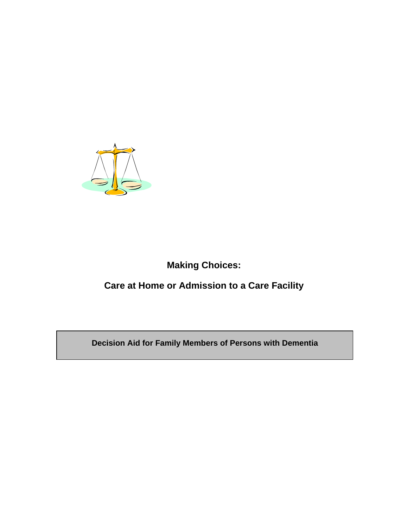

# **Making Choices:**

# **Care at Home or Admission to a Care Facility**

**Decision Aid for Family Members of Persons with Dementia**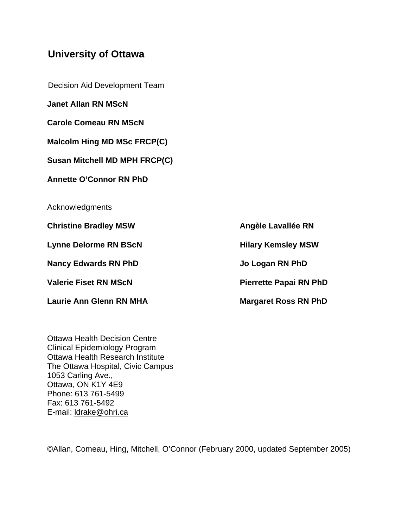### **University of Ottawa**

Decision Aid Development Team

**Janet Allan RN MScN** 

**Carole Comeau RN MScN** 

**Malcolm Hing MD MSc FRCP(C)** 

**Susan Mitchell MD MPH FRCP(C)** 

**Annette O'Connor RN PhD** 

**Acknowledgments** 

**Christine Bradley MSW Christine Bradley MSW** 

Lynne Delorme RN BScN **Hilary Kemsley MSW** 

**Nancy Edwards RN PhD 30 Jo Logan RN PhD** 

Laurie Ann Glenn RN MHA **Margaret Ross RN PhD** 

Valerie Fiset RN MScN **Pierrette Papai RN PhD** 

Ottawa Health Decision Centre Clinical Epidemiology Program Ottawa Health Research Institute The Ottawa Hospital, Civic Campus 1053 Carling Ave., Ottawa, ON K1Y 4E9 Phone: 613 761-5499 Fax: 613 761-5492 E-mail: ldrake@ohri.ca

©Allan, Comeau, Hing, Mitchell, O'Connor (February 2000, updated September 2005)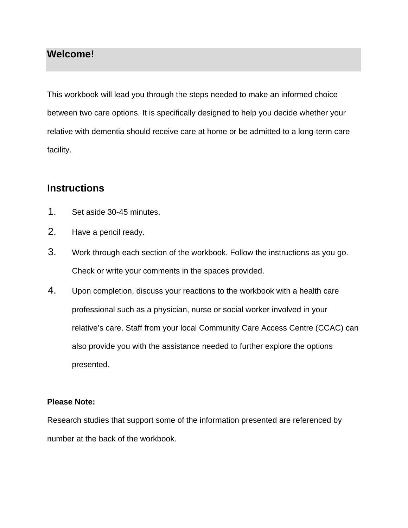## **Welcome!**

This workbook will lead you through the steps needed to make an informed choice between two care options. It is specifically designed to help you decide whether your relative with dementia should receive care at home or be admitted to a long-term care facility.

## **Instructions**

- 1. Set aside 30-45 minutes.
- 2. Have a pencil ready.
- 3. Work through each section of the workbook. Follow the instructions as you go. Check or write your comments in the spaces provided.
- 4. Upon completion, discuss your reactions to the workbook with a health care professional such as a physician, nurse or social worker involved in your relative's care. Staff from your local Community Care Access Centre (CCAC) can also provide you with the assistance needed to further explore the options presented.

#### **Please Note:**

Research studies that support some of the information presented are referenced by number at the back of the workbook.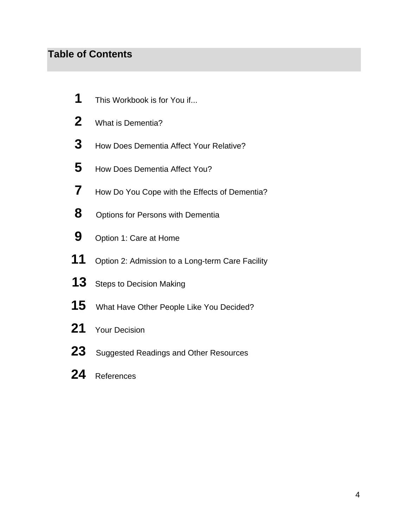# **Table of Contents**

- This Workbook is for You if...
- What is Dementia?
- How Does Dementia Affect Your Relative?
- How Does Dementia Affect You?
- How Do You Cope with the Effects of Dementia?
- Options for Persons with Dementia
- Option 1: Care at Home
- Option 2: Admission to a Long-term Care Facility
- 13 Steps to Decision Making
- What Have Other People Like You Decided?
- Your Decision
- 23 Suggested Readings and Other Resources
- References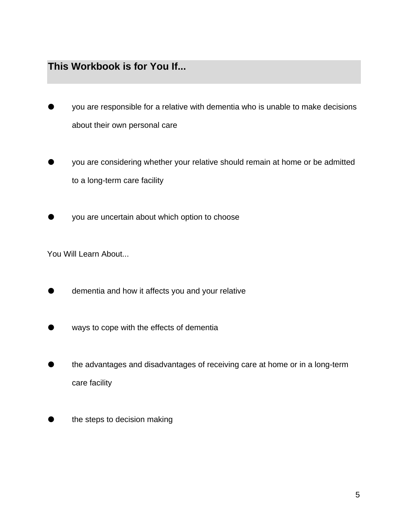# **This Workbook is for You If...**

- you are responsible for a relative with dementia who is unable to make decisions about their own personal care
- you are considering whether your relative should remain at home or be admitted to a long-term care facility
- **The View areas incontration** about which option to choose

You Will Learn About...

- dementia and how it affects you and your relative
- ways to cope with the effects of dementia
- the advantages and disadvantages of receiving care at home or in a long-term care facility
- **the steps to decision making**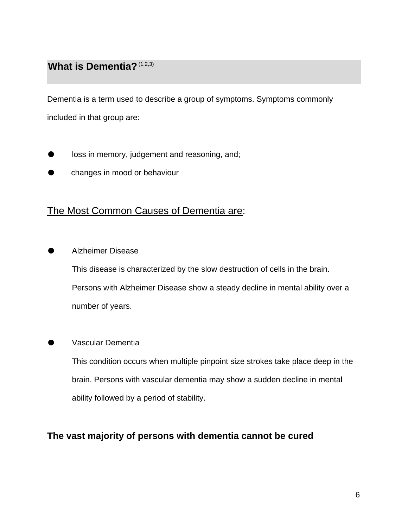## **What is Dementia?** (1,2,3)

Dementia is a term used to describe a group of symptoms. Symptoms commonly included in that group are:

- loss in memory, judgement and reasoning, and;
- changes in mood or behaviour

### The Most Common Causes of Dementia are:

Alzheimer Disease

This disease is characterized by the slow destruction of cells in the brain. Persons with Alzheimer Disease show a steady decline in mental ability over a number of years.

#### Vascular Dementia

This condition occurs when multiple pinpoint size strokes take place deep in the brain. Persons with vascular dementia may show a sudden decline in mental ability followed by a period of stability.

#### **The vast majority of persons with dementia cannot be cured**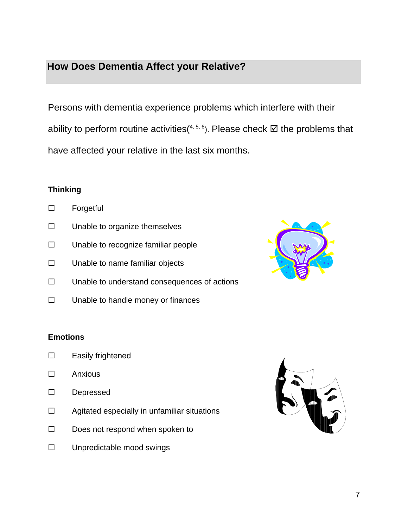# **How Does Dementia Affect your Relative?**

Persons with dementia experience problems which interfere with their ability to perform routine activities(<sup>4, 5, 6</sup>). Please check  $\boxtimes$  the problems that have affected your relative in the last six months.

#### **Thinking**

- □ Forgetful
- $\square$  Unable to organize themselves
- $\square$  Unable to recognize familiar people
- $\square$  Unable to name familiar objects
- $\square$  Unable to understand consequences of actions
- $\square$  Unable to handle money or finances



#### **Emotions**

- □ Easily frightened
- Anxious
- Depressed
- $\Box$  Agitated especially in unfamiliar situations
- $\square$  Does not respond when spoken to
- $\square$  Unpredictable mood swings

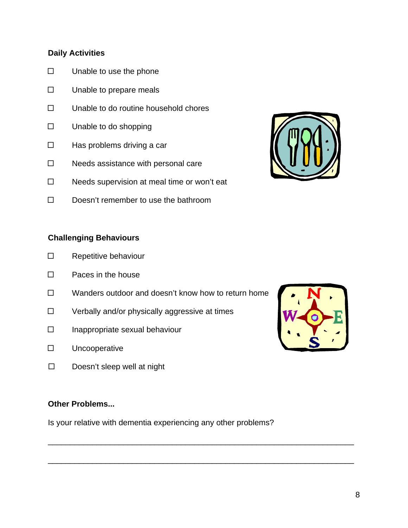#### **Daily Activities**

- $\square$  Unable to use the phone
- $\square$  Unable to prepare meals
- $\square$  Unable to do routine household chores
- □ Unable to do shopping
- $\Box$  Has problems driving a car
- $\square$  Needs assistance with personal care
- $\square$  Needs supervision at meal time or won't eat
- $\square$  Doesn't remember to use the bathroom

#### **Challenging Behaviours**

- □ Repetitive behaviour
- $\square$  Paces in the house
- $\square$  Wanders outdoor and doesn't know how to return home
- $\square$  Verbally and/or physically aggressive at times
- $\Box$  Inappropriate sexual behaviour
- Uncooperative
- $\square$  Doesn't sleep well at night

#### **Other Problems...**

Is your relative with dementia experiencing any other problems?

\_\_\_\_\_\_\_\_\_\_\_\_\_\_\_\_\_\_\_\_\_\_\_\_\_\_\_\_\_\_\_\_\_\_\_\_\_\_\_\_\_\_\_\_\_\_\_\_\_\_\_\_\_\_\_\_\_\_\_\_\_\_\_\_\_\_\_\_\_

\_\_\_\_\_\_\_\_\_\_\_\_\_\_\_\_\_\_\_\_\_\_\_\_\_\_\_\_\_\_\_\_\_\_\_\_\_\_\_\_\_\_\_\_\_\_\_\_\_\_\_\_\_\_\_\_\_\_\_\_\_\_\_\_\_\_\_\_\_



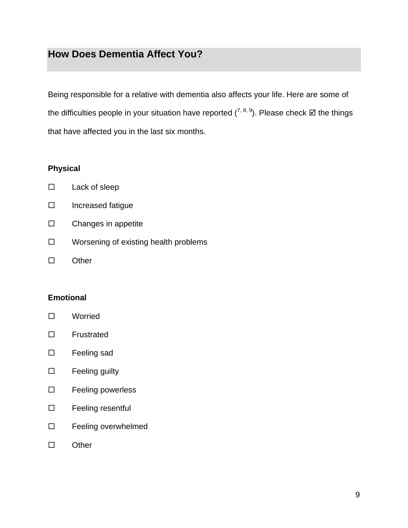# **How Does Dementia Affect You?**

Being responsible for a relative with dementia also affects your life. Here are some of the difficulties people in your situation have reported  $(7, 8, 9)$ . Please check  $\boxtimes$  the things that have affected you in the last six months.

#### **Physical**

| Lack of sleep |
|---------------|
|               |

- $\square$  Increased fatigue
- $\square$  Changes in appetite
- $\square$  Worsening of existing health problems
- □ Other

#### **Emotional**

- Worried
- Frustrated
- □ Feeling sad
- $\square$  Feeling guilty
- □ Feeling powerless
- □ Feeling resentful
- □ Feeling overwhelmed
- □ Other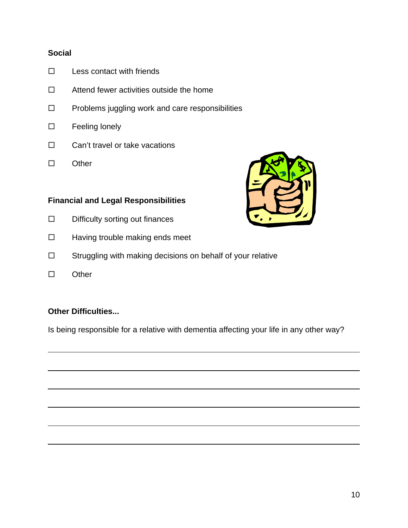#### **Social**

- $\square$  Less contact with friends
- $\Box$  Attend fewer activities outside the home
- $\square$  Problems juggling work and care responsibilities
- □ Feeling lonely
- $\Box$  Can't travel or take vacations
- □ Other

#### **Financial and Legal Responsibilities**

- $\square$  Difficulty sorting out finances
- $\Box$  Having trouble making ends meet
- □ Struggling with making decisions on behalf of your relative
- $\square$  Other

 $\overline{a}$ 

#### **Other Difficulties...**

Is being responsible for a relative with dementia affecting your life in any other way?

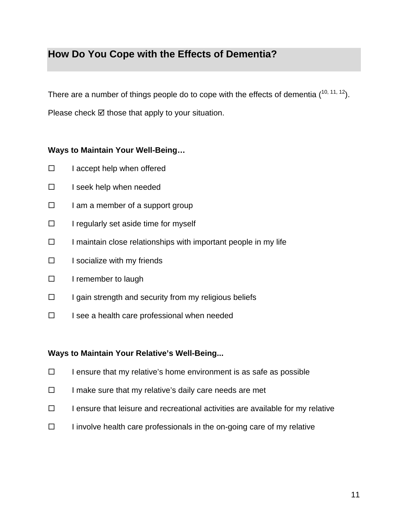# **How Do You Cope with the Effects of Dementia?**

There are a number of things people do to cope with the effects of dementia  $(^{10, 11, 12})$ . Please check  $\boxtimes$  those that apply to your situation.

#### **Ways to Maintain Your Well-Being…**

- $\Box$  I accept help when offered
- $\Box$  I seek help when needed
- $\Box$  I am a member of a support group
- $\Box$  I regularly set aside time for myself
- $\Box$  I maintain close relationships with important people in my life
- $\Box$  I socialize with my friends
- $\Box$  I remember to laugh
- $\Box$  I gain strength and security from my religious beliefs
- $\Box$  I see a health care professional when needed

#### **Ways to Maintain Your Relative's Well-Being...**

- $\Box$  I ensure that my relative's home environment is as safe as possible
- $\Box$  I make sure that my relative's daily care needs are met
- $\Box$  I ensure that leisure and recreational activities are available for my relative
- $\Box$  I involve health care professionals in the on-going care of my relative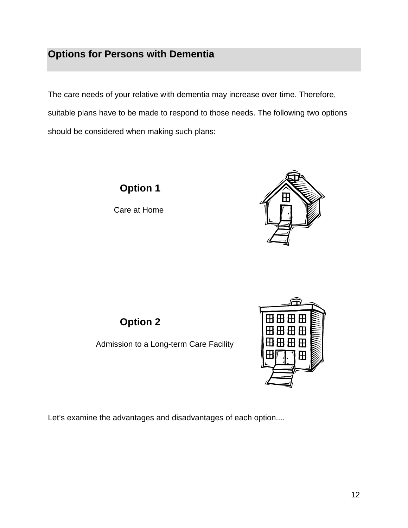# **Options for Persons with Dementia**

The care needs of your relative with dementia may increase over time. Therefore, suitable plans have to be made to respond to those needs. The following two options should be considered when making such plans:

**Option 1** 

Care at Home



**Option 2**

Admission to a Long-term Care Facility



Let's examine the advantages and disadvantages of each option....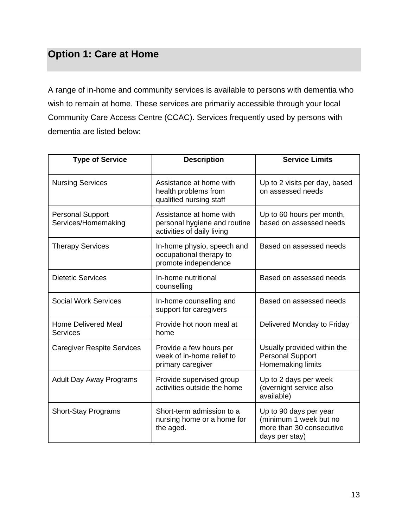# **Option 1: Care at Home**

A range of in-home and community services is available to persons with dementia who wish to remain at home. These services are primarily accessible through your local Community Care Access Centre (CCAC). Services frequently used by persons with dementia are listed below:

| <b>Type of Service</b>                         | <b>Description</b>                                                                    | <b>Service Limits</b>                                                                          |
|------------------------------------------------|---------------------------------------------------------------------------------------|------------------------------------------------------------------------------------------------|
| <b>Nursing Services</b>                        | Assistance at home with<br>health problems from<br>qualified nursing staff            | Up to 2 visits per day, based<br>on assessed needs                                             |
| <b>Personal Support</b><br>Services/Homemaking | Assistance at home with<br>personal hygiene and routine<br>activities of daily living | Up to 60 hours per month,<br>based on assessed needs                                           |
| <b>Therapy Services</b>                        | In-home physio, speech and<br>occupational therapy to<br>promote independence         | Based on assessed needs                                                                        |
| <b>Dietetic Services</b>                       | In-home nutritional<br>counselling                                                    | Based on assessed needs                                                                        |
| <b>Social Work Services</b>                    | In-home counselling and<br>support for caregivers                                     | Based on assessed needs                                                                        |
| <b>Home Delivered Meal</b><br><b>Services</b>  | Provide hot noon meal at<br>home                                                      | Delivered Monday to Friday                                                                     |
| <b>Caregiver Respite Services</b>              | Provide a few hours per<br>week of in-home relief to<br>primary caregiver             | Usually provided within the<br><b>Personal Support</b><br>Homemaking limits                    |
| <b>Adult Day Away Programs</b>                 | Provide supervised group<br>activities outside the home                               | Up to 2 days per week<br>(overnight service also<br>available)                                 |
| <b>Short-Stay Programs</b>                     | Short-term admission to a<br>nursing home or a home for<br>the aged.                  | Up to 90 days per year<br>(minimum 1 week but no<br>more than 30 consecutive<br>days per stay) |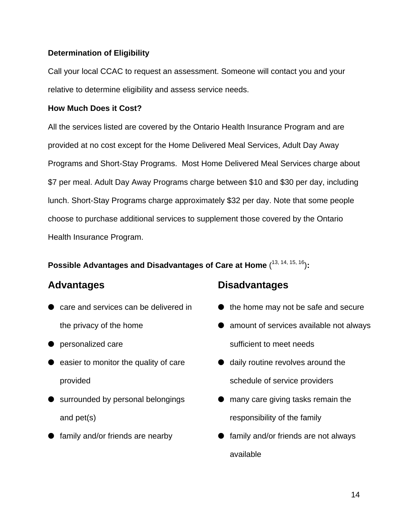#### **Determination of Eligibility**

Call your local CCAC to request an assessment. Someone will contact you and your relative to determine eligibility and assess service needs.

#### **How Much Does it Cost?**

All the services listed are covered by the Ontario Health Insurance Program and are provided at no cost except for the Home Delivered Meal Services, Adult Day Away Programs and Short-Stay Programs. Most Home Delivered Meal Services charge about \$7 per meal. Adult Day Away Programs charge between \$10 and \$30 per day, including lunch. Short-Stay Programs charge approximately \$32 per day. Note that some people choose to purchase additional services to supplement those covered by the Ontario Health Insurance Program.

#### **Possible Advantages and Disadvantages of Care at Home** ( 13, 14, 15, 16)**:**

## **Advantages**

- care and services can be delivered in the privacy of the home
- personalized care
- easier to monitor the quality of care provided
- surrounded by personal belongings and pet(s)
- family and/or friends are nearby

# **Disadvantages**

- $\bullet$  the home may not be safe and secure
- amount of services available not always sufficient to meet needs
- daily routine revolves around the schedule of service providers
- **•** many care giving tasks remain the responsibility of the family
- family and/or friends are not always available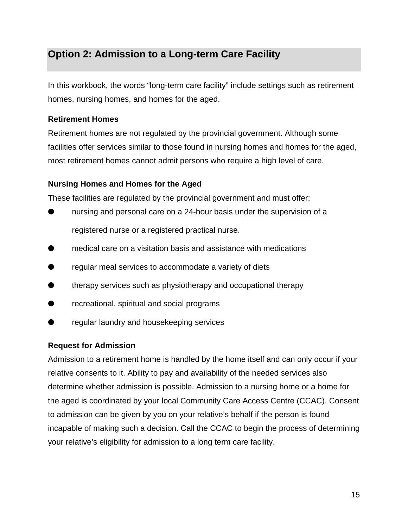# **Option 2: Admission to a Long-term Care Facility**

In this workbook, the words "long-term care facility" include settings such as retirement homes, nursing homes, and homes for the aged.

#### **Retirement Homes**

Retirement homes are not regulated by the provincial government. Although some facilities offer services similar to those found in nursing homes and homes for the aged, most retirement homes cannot admit persons who require a high level of care.

#### **Nursing Homes and Homes for the Aged**

These facilities are regulated by the provincial government and must offer:

- nursing and personal care on a 24-hour basis under the supervision of a registered nurse or a registered practical nurse.
- medical care on a visitation basis and assistance with medications
- regular meal services to accommodate a variety of diets
- therapy services such as physiotherapy and occupational therapy
- recreational, spiritual and social programs
- regular laundry and housekeeping services

#### **Request for Admission**

Admission to a retirement home is handled by the home itself and can only occur if your relative consents to it. Ability to pay and availability of the needed services also determine whether admission is possible. Admission to a nursing home or a home for the aged is coordinated by your local Community Care Access Centre (CCAC). Consent to admission can be given by you on your relative's behalf if the person is found incapable of making such a decision. Call the CCAC to begin the process of determining your relative's eligibility for admission to a long term care facility.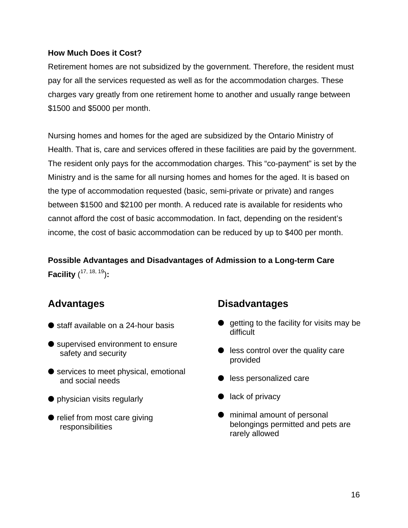#### **How Much Does it Cost?**

Retirement homes are not subsidized by the government. Therefore, the resident must pay for all the services requested as well as for the accommodation charges. These charges vary greatly from one retirement home to another and usually range between \$1500 and \$5000 per month.

Nursing homes and homes for the aged are subsidized by the Ontario Ministry of Health. That is, care and services offered in these facilities are paid by the government. The resident only pays for the accommodation charges. This "co-payment" is set by the Ministry and is the same for all nursing homes and homes for the aged. It is based on the type of accommodation requested (basic, semi-private or private) and ranges between \$1500 and \$2100 per month. A reduced rate is available for residents who cannot afford the cost of basic accommodation. In fact, depending on the resident's income, the cost of basic accommodation can be reduced by up to \$400 per month.

**Possible Advantages and Disadvantages of Admission to a Long-term Care Facility** ( 17, 18, 19)**:** 

# **Advantages**

- staff available on a 24-hour basis
- supervised environment to ensure safety and security
- services to meet physical, emotional and social needs
- physician visits regularly
- relief from most care giving responsibilities

## **Disadvantages**

- $\bullet$  getting to the facility for visits may be difficult
- $\bullet$  less control over the quality care provided
- less personalized care
- $\bullet$  lack of privacy
- $\bullet$  minimal amount of personal belongings permitted and pets are rarely allowed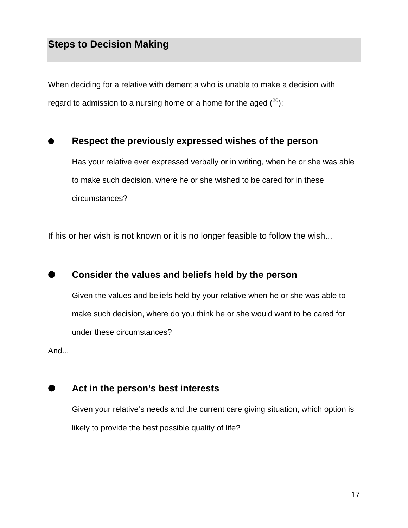When deciding for a relative with dementia who is unable to make a decision with regard to admission to a nursing home or a home for the aged  $(^{20})$ :

### **Respect the previously expressed wishes of the person**

Has your relative ever expressed verbally or in writing, when he or she was able to make such decision, where he or she wished to be cared for in these circumstances?

If his or her wish is not known or it is no longer feasible to follow the wish...

#### **Consider the values and beliefs held by the person**

Given the values and beliefs held by your relative when he or she was able to make such decision, where do you think he or she would want to be cared for under these circumstances?

And...



### **Act in the person's best interests**

Given your relative's needs and the current care giving situation, which option is likely to provide the best possible quality of life?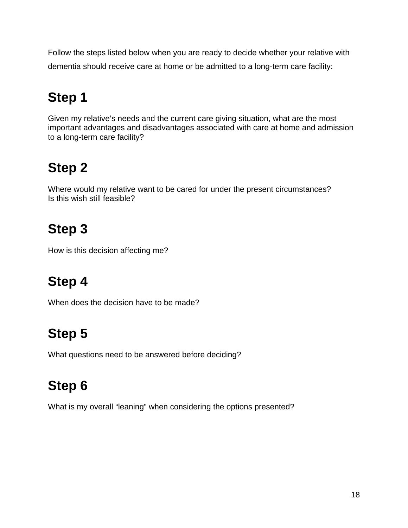Follow the steps listed below when you are ready to decide whether your relative with dementia should receive care at home or be admitted to a long-term care facility:

# **Step 1**

Given my relative's needs and the current care giving situation, what are the most important advantages and disadvantages associated with care at home and admission to a long-term care facility?

# **Step 2**

Where would my relative want to be cared for under the present circumstances? Is this wish still feasible?

# **Step 3**

How is this decision affecting me?

# **Step 4**

When does the decision have to be made?

# **Step 5**

What questions need to be answered before deciding?

# **Step 6**

What is my overall "leaning" when considering the options presented?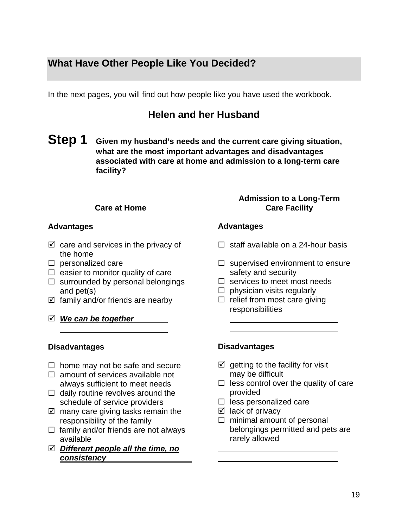# **What Have Other People Like You Decided?**

In the next pages, you will find out how people like you have used the workbook.

# **Helen and her Husband**

**Step 1 Given my husband's needs and the current care giving situation, what are the most important advantages and disadvantages associated with care at home and admission to a long-term care facility?** 

#### **Care at Home**

#### **Advantages**

- $\boxtimes$  care and services in the privacy of the home
- $\square$  personalized care
- $\Box$  easier to monitor quality of care
- $\square$  surrounded by personal belongings and pet(s)
- $\boxtimes$  family and/or friends are nearby
- ; *We can be together*

#### **Disadvantages**

- $\Box$  home may not be safe and secure
- $\Box$  amount of services available not always sufficient to meet needs
- $\Box$  daily routine revolves around the schedule of service providers
- $\boxtimes$  many care giving tasks remain the responsibility of the family
- $\Box$  family and/or friends are not always available
- ; *Different people all the time, no consistency*

#### **Admission to a Long-Term Care Facility**

#### **Advantages**

- $\Box$  staff available on a 24-hour basis
- $\Box$  supervised environment to ensure safety and security
- $\Box$  services to meet most needs
- $\Box$  physician visits regularly
- $\Box$  relief from most care giving responsibilities

#### **Disadvantages**

- $\boxtimes$  getting to the facility for visit may be difficult
- $\Box$  less control over the quality of care provided
- $\Box$  less personalized care
- $\boxtimes$  lack of privacy
- $\Box$  minimal amount of personal belongings permitted and pets are rarely allowed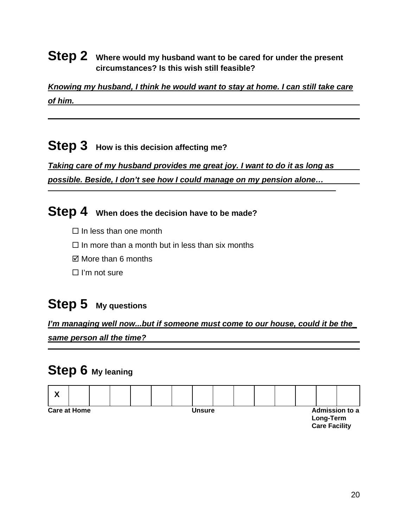### **Step 2** Where would my husband want to be cared for under the present **circumstances? Is this wish still feasible?**

*Knowing my husband, I think he would want to stay at home. I can still take care of him.* 

# **Step 3** How is this decision affecting me?

*Taking care of my husband provides me great joy. I want to do it as long as possible. Beside, I don't see how I could manage on my pension alone…* 

# **Step 4 When does the decision have to be made?**

- $\Box$  In less than one month
- $\Box$  In more than a month but in less than six months
- $\boxtimes$  More than 6 months
- $\Box$  I'm not sure

# **Step 5 My questions**

*I'm managing well now...but if someone must come to our house, could it be the\_ same person all the time?*

# **Step 6 My leaning**

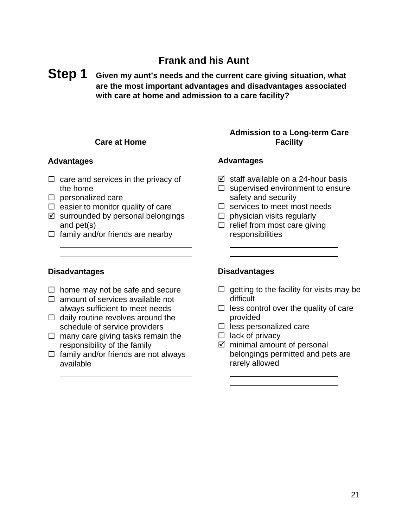# **Frank and his Aunt**

### **Step 1 Given my aunt's needs and the current care giving situation, what are the most important advantages and disadvantages associated with care at home and admission to a care facility?**

#### **Care at Home**

#### **Advantages**

- $\Box$  care and services in the privacy of the home
- $\square$  personalized care
- $\Box$  easier to monitor quality of care
- $\boxtimes$  surrounded by personal belongings and pet(s)
- $\Box$  family and/or friends are nearby

#### **Admission to a Long-term Care Facility**

#### **Advantages**

- $\boxtimes$  staff available on a 24-hour basis
- $\Box$  supervised environment to ensure safety and security
- $\square$  services to meet most needs
- $\Box$  physician visits regularly
- $\Box$  relief from most care giving responsibilities

#### **Disadvantages**

 $\overline{a}$ 

 $\overline{a}$ 

- $\Box$  home may not be safe and secure
- $\Box$  amount of services available not always sufficient to meet needs
- $\Box$  daily routine revolves around the schedule of service providers
- $\Box$  many care giving tasks remain the responsibility of the family
- $\Box$  family and/or friends are not always available

#### **Disadvantages**

 $\overline{a}$ 

 $\overline{a}$ 

- $\Box$  getting to the facility for visits may be difficult
- $\Box$  less control over the quality of care provided
- $\Box$  less personalized care
- $\Box$  lack of privacy
- $\boxtimes$  minimal amount of personal belongings permitted and pets are rarely allowed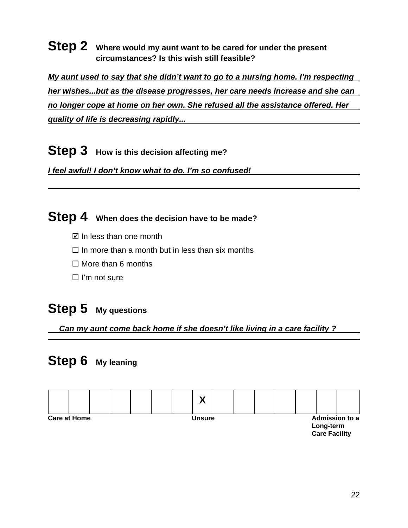## **Step 2** Where would my aunt want to be cared for under the present **circumstances? Is this wish still feasible?**

*My aunt used to say that she didn't want to go to a nursing home. I'm respecting her wishes...but as the disease progresses, her care needs increase and she can no longer cope at home on her own. She refused all the assistance offered. Her quality of life is decreasing rapidly...* 

**Step 3** How is this decision affecting me?

*I feel awful! I don't know what to do. I'm so confused!* 

# **Step 4 When does the decision have to be made?**

- $\boxtimes$  In less than one month
- $\Box$  In more than a month but in less than six months
- $\Box$  More than 6 months
- $\Box$  I'm not sure

# **Step 5 My questions**

*Can my aunt come back home if she doesn't like living in a care facility ?* 

# **Step 6 My leaning**

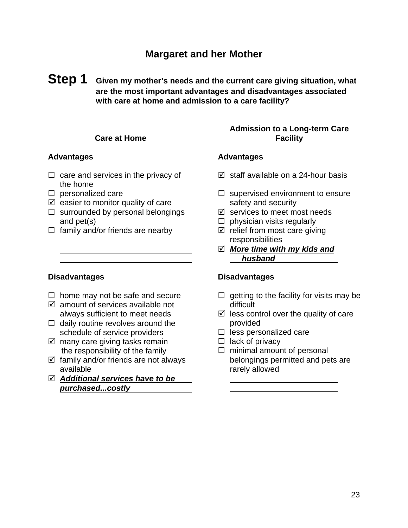### **Margaret and her Mother**

**Step 1 Given my mother's needs and the current care giving situation, what are the most important advantages and disadvantages associated with care at home and admission to a care facility?** 

#### **Care at Home**

#### **Advantages**

- $\Box$  care and services in the privacy of the home
- $\square$  personalized care
- $\boxtimes$  easier to monitor quality of care
- $\square$  surrounded by personal belongings and pet(s)
- $\Box$  family and/or friends are nearby

#### **Disadvantages**

- $\Box$  home may not be safe and secure
- $\boxtimes$  amount of services available not always sufficient to meet needs
- $\Box$  daily routine revolves around the schedule of service providers
- $\boxtimes$  many care giving tasks remain the responsibility of the family
- $\boxtimes$  family and/or friends are not always available
- ; *Additional services have to be purchased...costly*

#### **Admission to a Long-term Care Facility**

#### **Advantages**

- $\boxtimes$  staff available on a 24-hour basis
- $\Box$  supervised environment to ensure safety and security
- $\boxtimes$  services to meet most needs
- $\Box$  physician visits regularly
- $\boxtimes$  relief from most care giving responsibilities
- ; *More time with my kids and husband*

#### **Disadvantages**

- $\Box$  getting to the facility for visits may be difficult
- $\boxtimes$  less control over the quality of care provided
- $\Box$  less personalized care
- $\Box$  lack of privacy

 $\Box$  minimal amount of personal belongings permitted and pets are rarely allowed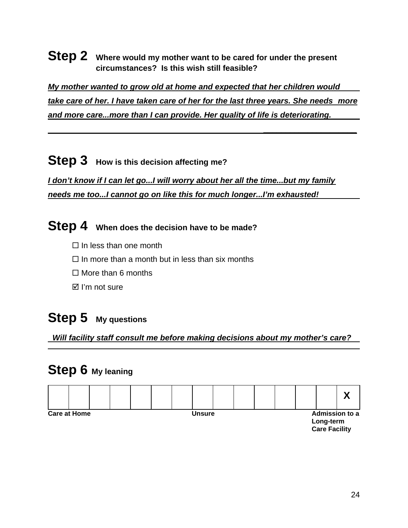### **Step 2** Where would my mother want to be cared for under the present **circumstances? Is this wish still feasible?**

*My mother wanted to grow old at home and expected that her children would take care of her. I have taken care of her for the last three years. She needs more and more care...more than I can provide. Her quality of life is deteriorating.* 

 *\_\_\_\_\_\_\_\_\_\_\_\_\_\_\_\_\_\_\_\_\_*

# **Step 3** How is this decision affecting me?

*I don't know if I can let go...I will worry about her all the time...but my family needs me too...I cannot go on like this for much longer...I'm exhausted!* 

**Step 4 When does the decision have to be made?**

- $\Box$  In less than one month
- $\Box$  In more than a month but in less than six months
- $\Box$  More than 6 months
- $\boxtimes$  I'm not sure

# **Step 5 My questions**

*Will facility staff consult me before making decisions about my mother's care?* 

# **Step 6 My leaning**

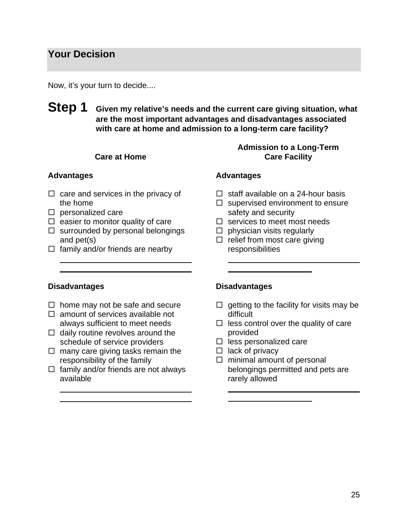### **Your Decision**

Now, it's your turn to decide....

**Step 1 Given my relative's needs and the current care giving situation, what are the most important advantages and disadvantages associated with care at home and admission to a long-term care facility?** 

#### **Care at Home**

#### **Advantages**

- $\Box$  care and services in the privacy of the home
- $\square$  personalized care
- $\Box$  easier to monitor quality of care
- $\square$  surrounded by personal belongings and pet(s)
- $\Box$  family and/or friends are nearby

#### **Admission to a Long-Term Care Facility**

#### **Advantages**

- $\Box$  staff available on a 24-hour basis
- $\Box$  supervised environment to ensure safety and security
- $\square$  services to meet most needs
- $\Box$  physician visits regularly
- $\Box$  relief from most care giving responsibilities

#### **Disadvantages**

- $\Box$  home may not be safe and secure
- $\Box$  amount of services available not always sufficient to meet needs
- $\Box$  daily routine revolves around the schedule of service providers
- $\Box$  many care giving tasks remain the responsibility of the family
- $\Box$  family and/or friends are not always available

#### **Disadvantages**

- $\Box$  getting to the facility for visits may be difficult
- $\Box$  less control over the quality of care provided
- $\Box$  less personalized care
- $\Box$  lack of privacy

 $\Box$  minimal amount of personal belongings permitted and pets are rarely allowed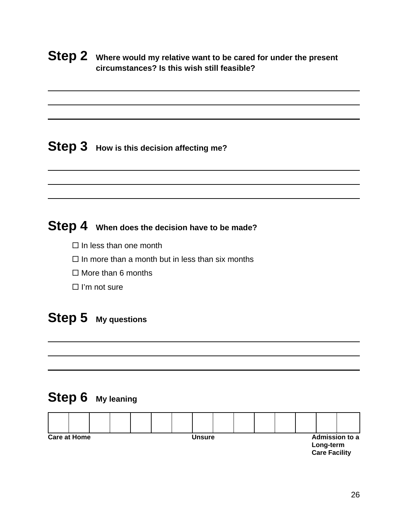## **Step 2** Where would my relative want to be cared for under the present **circumstances? Is this wish still feasible?**

# **Step 3** How is this decision affecting me?

# **Step 4 When does the decision have to be made?**

- $\Box$  In less than one month
- $\Box$  In more than a month but in less than six months
- $\Box$  More than 6 months
- $\Box$  I'm not sure

# **Step 5 My questions**

# **Step 6 My leaning**

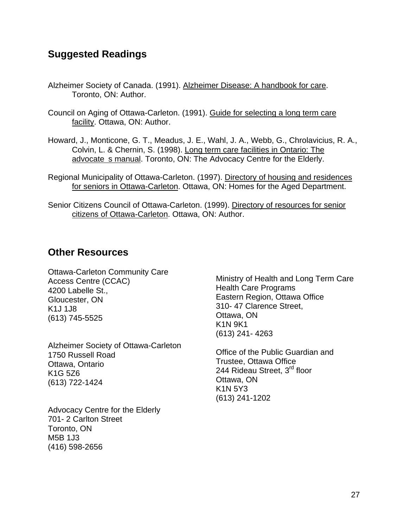## **Suggested Readings**

- Alzheimer Society of Canada. (1991). Alzheimer Disease: A handbook for care. Toronto, ON: Author.
- Council on Aging of Ottawa-Carleton. (1991). Guide for selecting a long term care facility. Ottawa, ON: Author.
- Howard, J., Monticone, G. T., Meadus, J. E., Wahl, J. A., Webb, G., Chrolavicius, R. A., Colvin, L. & Chernin, S. (1998). Long term care facilities in Ontario: The advocate s manual. Toronto, ON: The Advocacy Centre for the Elderly.
- Regional Municipality of Ottawa-Carleton. (1997). Directory of housing and residences for seniors in Ottawa-Carleton. Ottawa, ON: Homes for the Aged Department.
- Senior Citizens Council of Ottawa-Carleton. (1999). Directory of resources for senior citizens of Ottawa-Carleton. Ottawa, ON: Author.

### **Other Resources**

Ottawa-Carleton Community Care Access Centre (CCAC) 4200 Labelle St., Gloucester, ON K1J 1J8 (613) 745-5525

Alzheimer Society of Ottawa-Carleton 1750 Russell Road Ottawa, Ontario K1G 5Z6 (613) 722-1424

Advocacy Centre for the Elderly 701- 2 Carlton Street Toronto, ON M5B 1J3 (416) 598-2656

Ministry of Health and Long Term Care Health Care Programs Eastern Region, Ottawa Office 310- 47 Clarence Street, Ottawa, ON K1N 9K1 (613) 241- 4263

Office of the Public Guardian and Trustee, Ottawa Office 244 Rideau Street, 3<sup>rd</sup> floor Ottawa, ON K1N 5Y3 (613) 241-1202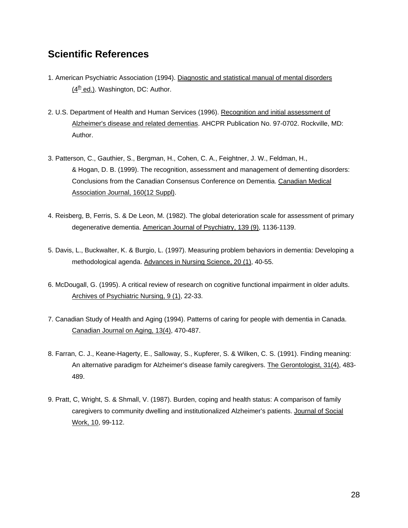## **Scientific References**

- 1. American Psychiatric Association (1994). Diagnostic and statistical manual of mental disorders  $(4<sup>th</sup>$  ed.). Washington, DC: Author.
- 2. U.S. Department of Health and Human Services (1996). Recognition and initial assessment of Alzheimer's disease and related dementias. AHCPR Publication No. 97-0702. Rockville, MD: Author.
- 3. Patterson, C., Gauthier, S., Bergman, H., Cohen, C. A., Feightner, J. W., Feldman, H., & Hogan, D. B. (1999). The recognition, assessment and management of dementing disorders: Conclusions from the Canadian Consensus Conference on Dementia. Canadian Medical Association Journal, 160(12 Suppl).
- 4. Reisberg, B, Ferris, S. & De Leon, M. (1982). The global deterioration scale for assessment of primary degenerative dementia. American Journal of Psychiatry, 139 (9), 1136-1139.
- 5. Davis, L., Buckwalter, K. & Burgio, L. (1997). Measuring problem behaviors in dementia: Developing a methodological agenda. Advances in Nursing Science, 20 (1), 40-55.
- 6. McDougall, G. (1995). A critical review of research on cognitive functional impairment in older adults. Archives of Psychiatric Nursing, 9 (1), 22-33.
- 7. Canadian Study of Health and Aging (1994). Patterns of caring for people with dementia in Canada. Canadian Journal on Aging, 13(4), 470-487.
- 8. Farran, C. J., Keane-Hagerty, E., Salloway, S., Kupferer, S. & Wilken, C. S. (1991). Finding meaning: An alternative paradigm for Alzheimer's disease family caregivers. The Gerontologist, 31(4), 483- 489.
- 9. Pratt, C, Wright, S. & Shmall, V. (1987). Burden, coping and health status: A comparison of family caregivers to community dwelling and institutionalized Alzheimer's patients. Journal of Social Work, 10, 99-112.